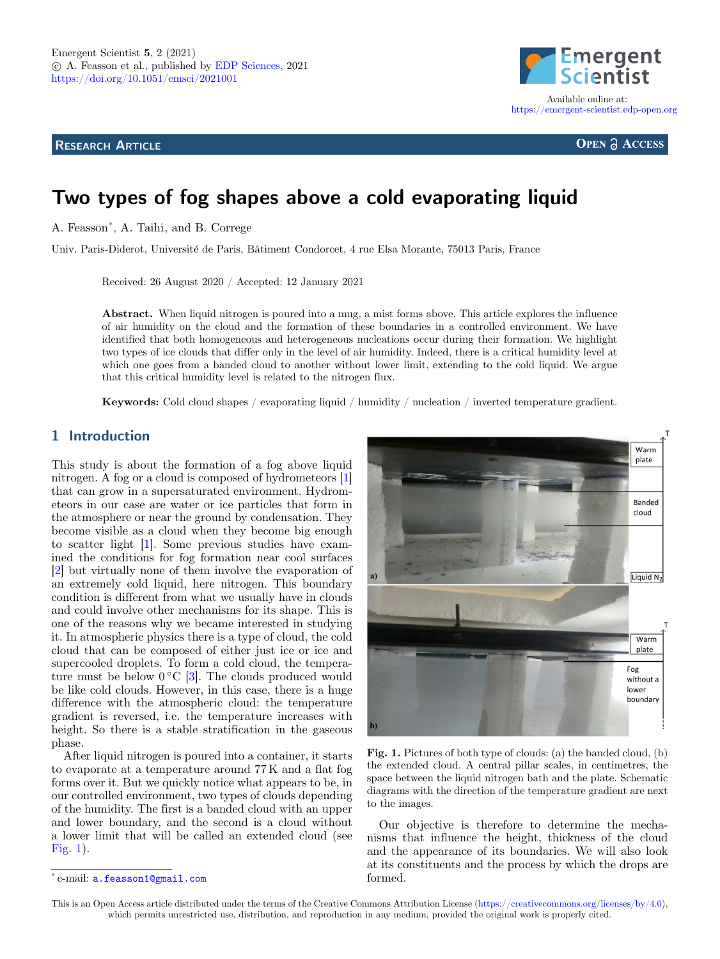<span id="page-0-1"></span>**RESEARCH ARTICLE**



**OPEN A ACCESS** 

# **Two types of fog shapes above a cold evaporating liquid**

A. Feasson\*, A. Taihi, and B. Correge

Univ. Paris-Diderot, Université de Paris, Bâtiment Condorcet, 4 rue Elsa Morante, 75013 Paris, France

Received: 26 August 2020 / Accepted: 12 January 2021

**Abstract.** When liquid nitrogen is poured into a mug, a mist forms above. This article explores the influence of air humidity on the cloud and the formation of these boundaries in a controlled environment. We have identified that both homogeneous and heterogeneous nucleations occur during their formation. We highlight two types of ice clouds that differ only in the level of air humidity. Indeed, there is a critical humidity level at which one goes from a banded cloud to another without lower limit, extending to the cold liquid. We argue that this critical humidity level is related to the nitrogen flux.

**Keywords:** Cold cloud shapes / evaporating liquid / humidity / nucleation / inverted temperature gradient.

# **1 Introduction**

This study is about the formation of a fog above liquid nitrogen. A fog or a cloud is composed of hydrometeors [\[1\]](#page-6-0) that can grow in a supersaturated environment. Hydrometeors in our case are water or ice particles that form in the atmosphere or near the ground by condensation. They become visible as a cloud when they become big enough to scatter light [\[1\]](#page-6-0). Some previous studies have examined the conditions for fog formation near cool surfaces [\[2\]](#page-6-1) but virtually none of them involve the evaporation of an extremely cold liquid, here nitrogen. This boundary condition is different from what we usually have in clouds and could involve other mechanisms for its shape. This is one of the reasons why we became interested in studying it. In atmospheric physics there is a type of cloud, the cold cloud that can be composed of either just ice or ice and supercooled droplets. To form a cold cloud, the temperature must be below  $0^{\circ}C$  [\[3\]](#page-6-2). The clouds produced would be like cold clouds. However, in this case, there is a huge difference with the atmospheric cloud: the temperature gradient is reversed, i.e. the temperature increases with height. So there is a stable stratification in the gaseous phase.

After liquid nitrogen is poured into a container, it starts to evaporate at a temperature around 77 K and a flat fog forms over it. But we quickly notice what appears to be, in our controlled environment, two types of clouds depending of the humidity. The first is a banded cloud with an upper and lower boundary, and the second is a cloud without a lower limit that will be called an extended cloud (see Fig. [1\)](#page-0-0).



<span id="page-0-0"></span>**Fig. 1.** Pictures of both type of clouds: (a) the banded cloud, (b) the extended cloud. A central pillar scales, in centimetres, the space between the liquid nitrogen bath and the plate. Schematic diagrams with the direction of the temperature gradient are next to the images.

Our objective is therefore to determine the mechanisms that influence the height, thickness of the cloud and the appearance of its boundaries. We will also look at its constituents and the process by which the drops are formed.

This is an Open Access article distributed under the terms of the Creative Commons Attribution License [\(https://creativecommons.org/licenses/by/4.0\)](https://creativecommons.org/licenses/by/4.0), which permits unrestricted use, distribution, and reproduction in any medium, provided the original work is properly cited.

<sup>\*</sup> e-mail: [a.feasson1@gmail.com](mailto:a.feasson1@gmail.com)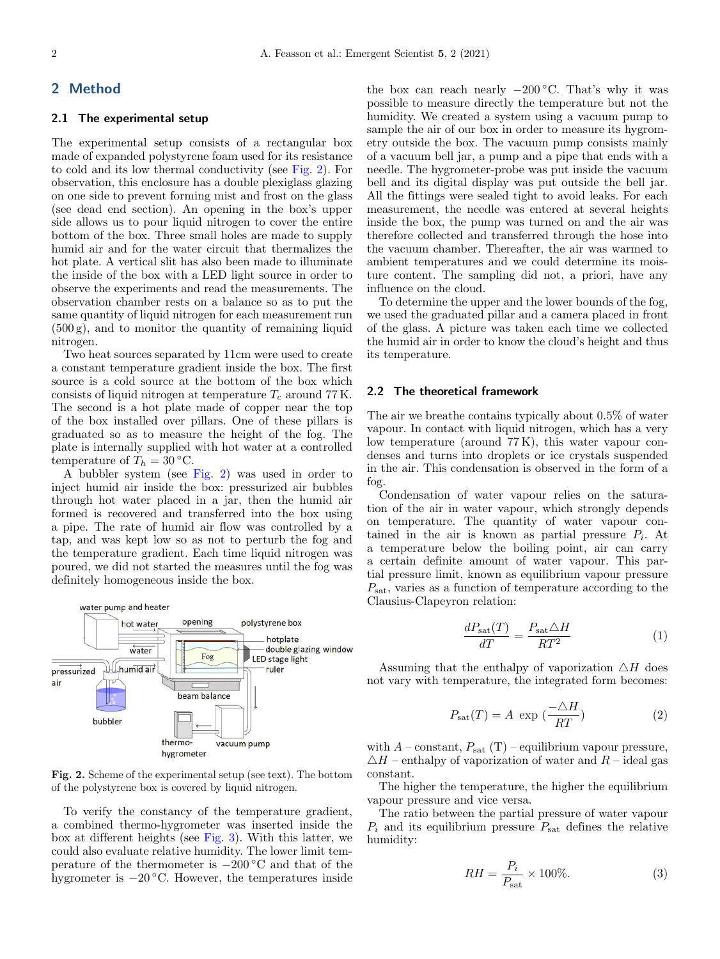# **2 Method**

#### **2.1 The experimental setup**

The experimental setup consists of a rectangular box made of expanded polystyrene foam used for its resistance to cold and its low thermal conductivity (see [Fig.](#page-0-1) [2\)](#page-1-0). For observation, this enclosure has a double plexiglass glazing on one side to prevent forming mist and frost on the glass (see dead end section). An opening in the box's upper side allows us to pour liquid nitrogen to cover the entire bottom of the box. Three small holes are made to supply humid air and for the water circuit that thermalizes the hot plate. A vertical slit has also been made to illuminate the inside of the box with a LED light source in order to observe the experiments and read the measurements. The observation chamber rests on a balance so as to put the same quantity of liquid nitrogen for each measurement run  $(500 \text{ g})$ , and to monitor the quantity of remaining liquid nitrogen.

Two heat sources separated by 11cm were used to create a constant temperature gradient inside the box. The first source is a cold source at the bottom of the box which consists of liquid nitrogen at temperature  $T_c$  around 77 K. The second is a hot plate made of copper near the top of the box installed over pillars. One of these pillars is graduated so as to measure the height of the fog. The plate is internally supplied with hot water at a controlled temperature of  $T_h = 30 °C$ .

A bubbler system (see [Fig.](#page-0-1) [2\)](#page-1-0) was used in order to inject humid air inside the box: pressurized air bubbles through hot water placed in a jar, then the humid air formed is recovered and transferred into the box using a pipe. The rate of humid air flow was controlled by a tap, and was kept low so as not to perturb the fog and the temperature gradient. Each time liquid nitrogen was poured, we did not started the measures until the fog was definitely homogeneous inside the box.



<span id="page-1-0"></span>**Fig. 2.** Scheme of the experimental setup (see text). The bottom of the polystyrene box is covered by liquid nitrogen.

To verify the constancy of the temperature gradient, a combined thermo-hygrometer was inserted inside the box at different heights (see [Fig.](#page-0-1) [3\)](#page-2-0). With this latter, we could also evaluate relative humidity. The lower limit temperature of the thermometer is  $-200\degree\text{C}$  and that of the hygrometer is  $-20$  °C. However, the temperatures inside

the box can reach nearly  $-200\degree C$ . That's why it was possible to measure directly the temperature but not the humidity. We created a system using a vacuum pump to sample the air of our box in order to measure its hygrometry outside the box. The vacuum pump consists mainly of a vacuum bell jar, a pump and a pipe that ends with a needle. The hygrometer-probe was put inside the vacuum bell and its digital display was put outside the bell jar. All the fittings were sealed tight to avoid leaks. For each measurement, the needle was entered at several heights inside the box, the pump was turned on and the air was therefore collected and transferred through the hose into the vacuum chamber. Thereafter, the air was warmed to ambient temperatures and we could determine its moisture content. The sampling did not, a priori, have any influence on the cloud.

To determine the upper and the lower bounds of the fog, we used the graduated pillar and a camera placed in front of the glass. A picture was taken each time we collected the humid air in order to know the cloud's height and thus its temperature.

#### **2.2 The theoretical framework**

The air we breathe contains typically about 0.5% of water vapour. In contact with liquid nitrogen, which has a very low temperature (around 77 K), this water vapour condenses and turns into droplets or ice crystals suspended in the air. This condensation is observed in the form of a fog.

Condensation of water vapour relies on the saturation of the air in water vapour, which strongly depends on temperature. The quantity of water vapour contained in the air is known as partial pressure  $P_i$ . At a temperature below the boiling point, air can carry a certain definite amount of water vapour. This partial pressure limit, known as equilibrium vapour pressure  $P_{\text{sat}}$ , varies as a function of temperature according to the Clausius-Clapeyron relation:

$$
\frac{dP_{\text{sat}}(T)}{dT} = \frac{P_{\text{sat}}\triangle H}{RT^2} \tag{1}
$$

Assuming that the enthalpy of vaporization  $\triangle H$  does not vary with temperature, the integrated form becomes:

<span id="page-1-2"></span>
$$
P_{\text{sat}}(T) = A \, \exp\left(\frac{-\Delta H}{RT}\right) \tag{2}
$$

with  $A$  – constant,  $P_{\text{sat}}$  (T) – equilibrium vapour pressure,  $\triangle H$  – enthalpy of vaporization of water and  $R$  – ideal gas constant.

The higher the temperature, the higher the equilibrium vapour pressure and vice versa.

The ratio between the partial pressure of water vapour  $P_i$  and its equilibrium pressure  $P_{\text{sat}}$  defines the relative humidity:

<span id="page-1-1"></span>
$$
RH = \frac{P_i}{P_{\text{sat}}} \times 100\%.\tag{3}
$$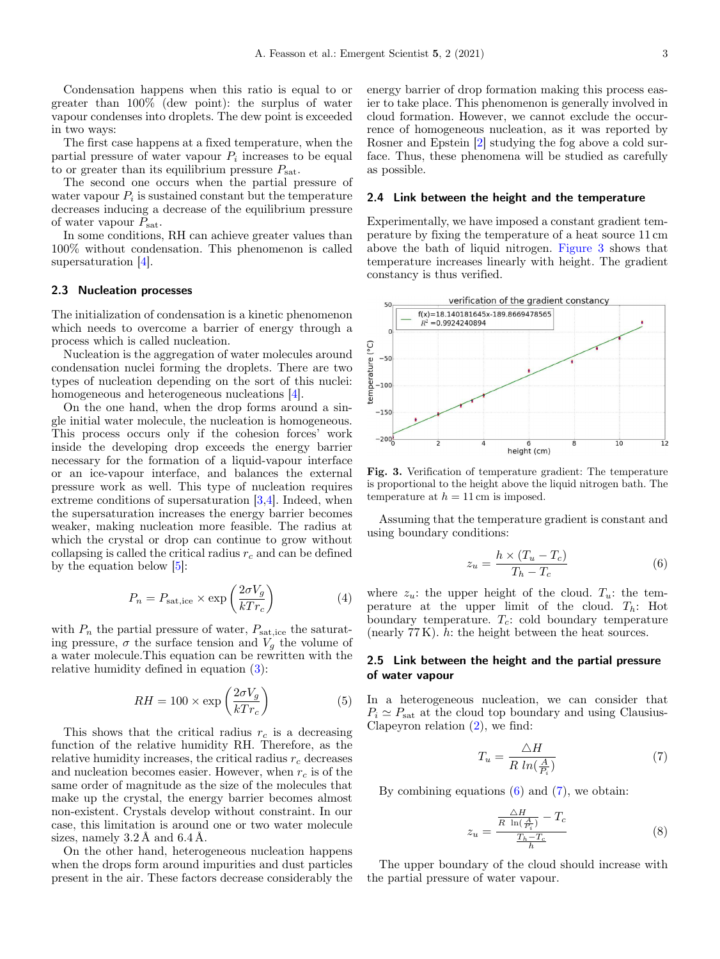Condensation happens when this ratio is equal to or greater than 100% (dew point): the surplus of water vapour condenses into droplets. The dew point is exceeded in two ways:

The first case happens at a fixed temperature, when the partial pressure of water vapour  $P_i$  increases to be equal to or greater than its equilibrium pressure  $P_{\text{sat}}$ .

The second one occurs when the partial pressure of water vapour  $P_i$  is sustained constant but the temperature decreases inducing a decrease of the equilibrium pressure of water vapour  $P_{\text{sat}}$ .

In some conditions, RH can achieve greater values than 100% without condensation. This phenomenon is called supersaturation [\[4\]](#page-6-3).

#### **2.3 Nucleation processes**

The initialization of condensation is a kinetic phenomenon which needs to overcome a barrier of energy through a process which is called nucleation.

Nucleation is the aggregation of water molecules around condensation nuclei forming the droplets. There are two types of nucleation depending on the sort of this nuclei: homogeneous and heterogeneous nucleations [\[4\]](#page-6-3).

On the one hand, when the drop forms around a single initial water molecule, the nucleation is homogeneous. This process occurs only if the cohesion forces' work inside the developing drop exceeds the energy barrier necessary for the formation of a liquid-vapour interface or an ice-vapour interface, and balances the external pressure work as well. This type of nucleation requires extreme conditions of supersaturation [\[3,](#page-6-2)[4\]](#page-6-3). Indeed, when the supersaturation increases the energy barrier becomes weaker, making nucleation more feasible. The radius at which the crystal or drop can continue to grow without collapsing is called the critical radius  $r_c$  and can be defined by the equation below [\[5\]](#page-6-4):

<span id="page-2-3"></span>
$$
P_n = P_{\text{sat,ice}} \times \exp\left(\frac{2\sigma V_g}{kTr_c}\right) \tag{4}
$$

with  $P_n$  the partial pressure of water,  $P_{\text{sat,ice}}$  the saturating pressure,  $\sigma$  the surface tension and  $V_g$  the volume of a water molecule.This equation can be rewritten with the relative humidity defined in equation [\(3\)](#page-1-1):

$$
RH = 100 \times \exp\left(\frac{2\sigma V_g}{kTr_c}\right) \tag{5}
$$

This shows that the critical radius  $r_c$  is a decreasing function of the relative humidity RH. Therefore, as the relative humidity increases, the critical radius  $r_c$  decreases and nucleation becomes easier. However, when  $r_c$  is of the same order of magnitude as the size of the molecules that make up the crystal, the energy barrier becomes almost non-existent. Crystals develop without constraint. In our case, this limitation is around one or two water molecule sizes, namely  $3.2 \text{ Å}$  and  $6.4 \text{ Å}$ .

On the other hand, heterogeneous nucleation happens when the drops form around impurities and dust particles present in the air. These factors decrease considerably the

energy barrier of drop formation making this process easier to take place. This phenomenon is generally involved in cloud formation. However, we cannot exclude the occurrence of homogeneous nucleation, as it was reported by Rosner and Epstein [\[2\]](#page-6-1) studying the fog above a cold surface. Thus, these phenomena will be studied as carefully as possible.

#### **2.4 Link between the height and the temperature**

Experimentally, we have imposed a constant gradient temperature by fixing the temperature of a heat source 11 cm above the bath of liquid nitrogen. [Figure 3](#page-2-0) shows that temperature increases linearly with height. The gradient constancy is thus verified.



<span id="page-2-0"></span>**Fig. 3.** Verification of temperature gradient: The temperature is proportional to the height above the liquid nitrogen bath. The temperature at  $h = 11$  cm is imposed.

Assuming that the temperature gradient is constant and using boundary conditions:

<span id="page-2-1"></span>
$$
z_u = \frac{h \times (T_u - T_c)}{T_h - T_c} \tag{6}
$$

where  $z_u$ : the upper height of the cloud.  $T_u$ : the temperature at the upper limit of the cloud.  $T_h$ : Hot boundary temperature.  $T_c$ : cold boundary temperature (nearly 77 K). h: the height between the heat sources.

# **2.5 Link between the height and the partial pressure of water vapour**

In a heterogeneous nucleation, we can consider that  $P_i \simeq P_{\text{sat}}$  at the cloud top boundary and using Clausius-Clapeyron relation  $(2)$ , we find:

<span id="page-2-2"></span>
$$
T_u = \frac{\triangle H}{R \ln(\frac{A}{P_i})} \tag{7}
$$

By combining equations  $(6)$  and  $(7)$ , we obtain:

<span id="page-2-4"></span>
$$
z_u = \frac{\frac{\triangle H}{R \ln(\frac{A}{P_i})} - T_c}{\frac{T_h - T_c}{h}}
$$
(8)

The upper boundary of the cloud should increase with the partial pressure of water vapour.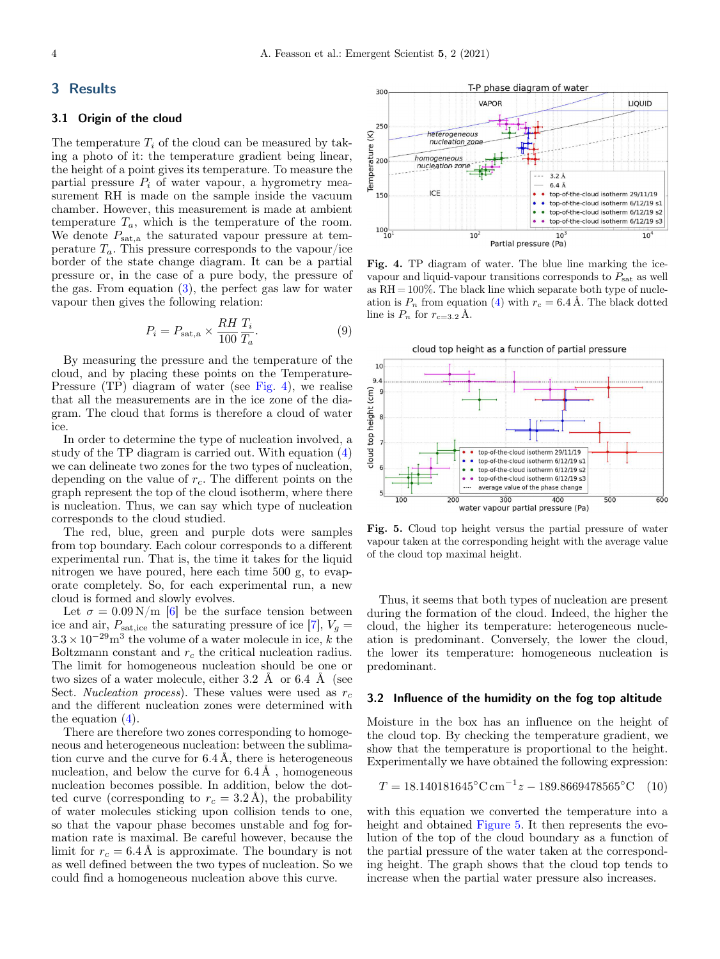# **3 Results**

#### **3.1 Origin of the cloud**

The temperature  $T_i$  of the cloud can be measured by taking a photo of it: the temperature gradient being linear, the height of a point gives its temperature. To measure the partial pressure  $P_i$  of water vapour, a hygrometry measurement RH is made on the sample inside the vacuum chamber. However, this measurement is made at ambient temperature  $T_a$ , which is the temperature of the room. We denote  $P_{\text{sat},a}$  the saturated vapour pressure at temperature  $T_a$ . This pressure corresponds to the vapour/ice border of the state change diagram. It can be a partial pressure or, in the case of a pure body, the pressure of the gas. From equation [\(3\)](#page-1-1), the perfect gas law for water vapour then gives the following relation:

$$
P_i = P_{\text{sat,a}} \times \frac{RH T_i}{100 T_a}.
$$
\n(9)

By measuring the pressure and the temperature of the cloud, and by placing these points on the Temperature-Pressure (TP) diagram of water (see [Fig.](#page-0-1) [4\)](#page-3-0), we realise that all the measurements are in the ice zone of the diagram. The cloud that forms is therefore a cloud of water ice.

In order to determine the type of nucleation involved, a study of the TP diagram is carried out. With equation ([4](#page-2-3)) we can delineate two zones for the two types of nucleation, depending on the value of  $r_c$ . The different points on the graph represent the top of the cloud isotherm, where there is nucleation. Thus, we can say which type of nucleation corresponds to the cloud studied.

The red, blue, green and purple dots were samples from top boundary. Each colour corresponds to a different experimental run. That is, the time it takes for the liquid nitrogen we have poured, here each time 500 g, to evaporate completely. So, for each experimental run, a new cloud is formed and slowly evolves.

Let  $\sigma = 0.09 \text{ N/m}$  [\[6\]](#page-6-5) be the surface tension between ice and air,  $P_{\text{sat,ice}}$  the saturating pressure of ice [\[7\]](#page-6-6),  $V_q =$  $3.3 \times 10^{-29}$  m<sup>3</sup> the volume of a water molecule in ice, k the Boltzmann constant and  $r_c$  the critical nucleation radius. The limit for homogeneous nucleation should be one or two sizes of a water molecule, either 3.2  $\AA$  or 6.4  $\AA$  (see Sect. *Nucleation process*). These values were used as  $r_c$ and the different nucleation zones were determined with the equation [\(4\)](#page-2-3).

There are therefore two zones corresponding to homogeneous and heterogeneous nucleation: between the sublimation curve and the curve for  $6.4 \text{ Å}$ , there is heterogeneous nucleation, and below the curve for  $6.4 \text{ Å}$ , homogeneous nucleation becomes possible. In addition, below the dotted curve (corresponding to  $r_c = 3.2 \text{ Å}$ ), the probability of water molecules sticking upon collision tends to one, so that the vapour phase becomes unstable and fog formation rate is maximal. Be careful however, because the limit for  $r_c = 6.4 \text{ Å}$  is approximate. The boundary is not as well defined between the two types of nucleation. So we could find a homogeneous nucleation above this curve.



<span id="page-3-0"></span>**Fig. 4.** TP diagram of water. The blue line marking the icevapour and liquid-vapour transitions corresponds to  $P_{\text{sat}}$  as well as  $RH = 100\%$ . The black line which separate both type of nucleation is  $P_n$  from equation ([4](#page-2-3)) with  $r_c = 6.4$  Å. The black dotted line is  $P_n$  for  $r_{c=3.2}$  Å.





<span id="page-3-1"></span>**Fig. 5.** Cloud top height versus the partial pressure of water vapour taken at the corresponding height with the average value of the cloud top maximal height.

Thus, it seems that both types of nucleation are present during the formation of the cloud. Indeed, the higher the cloud, the higher its temperature: heterogeneous nucleation is predominant. Conversely, the lower the cloud, the lower its temperature: homogeneous nucleation is predominant.

#### **3.2 Influence of the humidity on the fog top altitude**

Moisture in the box has an influence on the height of the cloud top. By checking the temperature gradient, we show that the temperature is proportional to the height. Experimentally we have obtained the following expression:

$$
T = 18.140181645^{\circ}\text{C cm}^{-1}z - 189.8669478565^{\circ}\text{C} \quad (10)
$$

with this equation we converted the temperature into a height and obtained [Figure 5.](#page-3-1) It then represents the evolution of the top of the cloud boundary as a function of the partial pressure of the water taken at the corresponding height. The graph shows that the cloud top tends to increase when the partial water pressure also increases.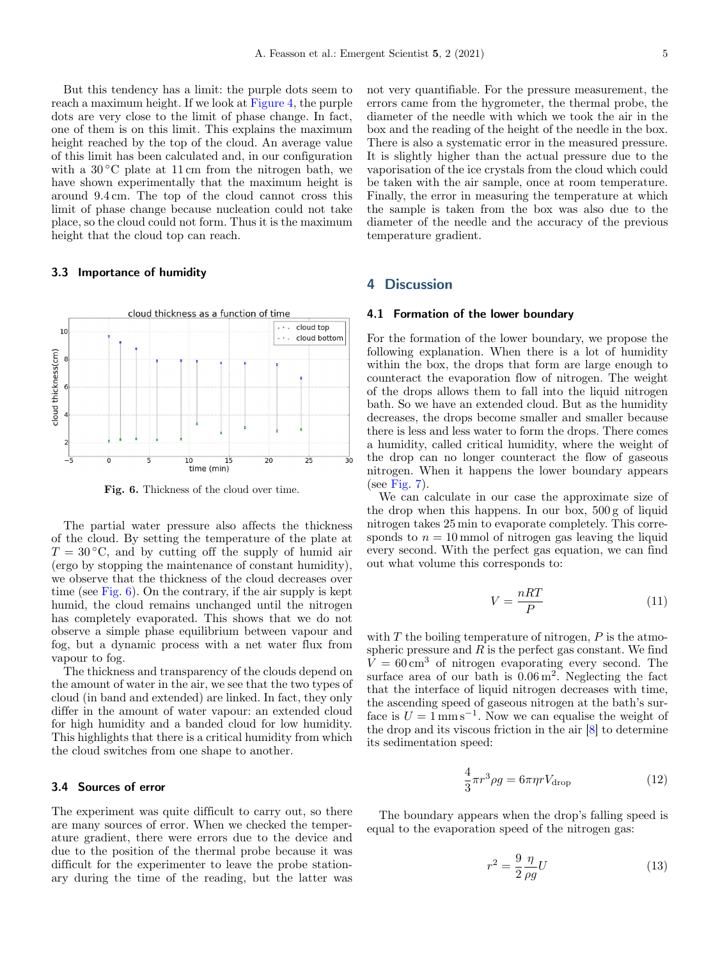But this tendency has a limit: the purple dots seem to reach a maximum height. If we look at [Figure 4,](#page-3-0) the purple dots are very close to the limit of phase change. In fact, one of them is on this limit. This explains the maximum height reached by the top of the cloud. An average value of this limit has been calculated and, in our configuration with a  $30^{\circ}$ C plate at 11 cm from the nitrogen bath, we have shown experimentally that the maximum height is around 9.4 cm. The top of the cloud cannot cross this limit of phase change because nucleation could not take place, so the cloud could not form. Thus it is the maximum height that the cloud top can reach.

#### **3.3 Importance of humidity**



<span id="page-4-0"></span>**Fig. 6.** Thickness of the cloud over time.

The partial water pressure also affects the thickness of the cloud. By setting the temperature of the plate at  $T = 30$  °C, and by cutting off the supply of humid air (ergo by stopping the maintenance of constant humidity), we observe that the thickness of the cloud decreases over time (see [Fig.](#page-0-1) [6\)](#page-4-0). On the contrary, if the air supply is kept humid, the cloud remains unchanged until the nitrogen has completely evaporated. This shows that we do not observe a simple phase equilibrium between vapour and fog, but a dynamic process with a net water flux from vapour to fog.

The thickness and transparency of the clouds depend on the amount of water in the air, we see that the two types of cloud (in band and extended) are linked. In fact, they only differ in the amount of water vapour: an extended cloud for high humidity and a banded cloud for low humidity. This highlights that there is a critical humidity from which the cloud switches from one shape to another.

# **3.4 Sources of error**

The experiment was quite difficult to carry out, so there are many sources of error. When we checked the temperature gradient, there were errors due to the device and due to the position of the thermal probe because it was difficult for the experimenter to leave the probe stationary during the time of the reading, but the latter was not very quantifiable. For the pressure measurement, the errors came from the hygrometer, the thermal probe, the diameter of the needle with which we took the air in the box and the reading of the height of the needle in the box. There is also a systematic error in the measured pressure. It is slightly higher than the actual pressure due to the vaporisation of the ice crystals from the cloud which could be taken with the air sample, once at room temperature. Finally, the error in measuring the temperature at which the sample is taken from the box was also due to the diameter of the needle and the accuracy of the previous temperature gradient.

# **4 Discussion**

#### **4.1 Formation of the lower boundary**

For the formation of the lower boundary, we propose the following explanation. When there is a lot of humidity within the box, the drops that form are large enough to counteract the evaporation flow of nitrogen. The weight of the drops allows them to fall into the liquid nitrogen bath. So we have an extended cloud. But as the humidity decreases, the drops become smaller and smaller because there is less and less water to form the drops. There comes a humidity, called critical humidity, where the weight of the drop can no longer counteract the flow of gaseous nitrogen. When it happens the lower boundary appears (see [Fig.](#page-0-1)  $7$ ).

We can calculate in our case the approximate size of the drop when this happens. In our box, 500 g of liquid nitrogen takes 25 min to evaporate completely. This corresponds to  $n = 10$  mmol of nitrogen gas leaving the liquid every second. With the perfect gas equation, we can find out what volume this corresponds to:

$$
V = \frac{nRT}{P} \tag{11}
$$

with  $T$  the boiling temperature of nitrogen,  $P$  is the atmospheric pressure and  $R$  is the perfect gas constant. We find  $\overline{V} = 60 \text{ cm}^3$  of nitrogen evaporating every second. The surface area of our bath is  $0.06 \,\mathrm{m}^2$ . Neglecting the fact that the interface of liquid nitrogen decreases with time, the ascending speed of gaseous nitrogen at the bath's surface is  $U = 1$  mm s<sup>-1</sup>. Now we can equalise the weight of the drop and its viscous friction in the air [\[8\]](#page-6-7) to determine its sedimentation speed:

$$
\frac{4}{3}\pi r^3 \rho g = 6\pi \eta r V_{\rm drop} \tag{12}
$$

The boundary appears when the drop's falling speed is equal to the evaporation speed of the nitrogen gas:

<span id="page-4-1"></span>
$$
r^2 = \frac{9}{2} \frac{\eta}{\rho g} U \tag{13}
$$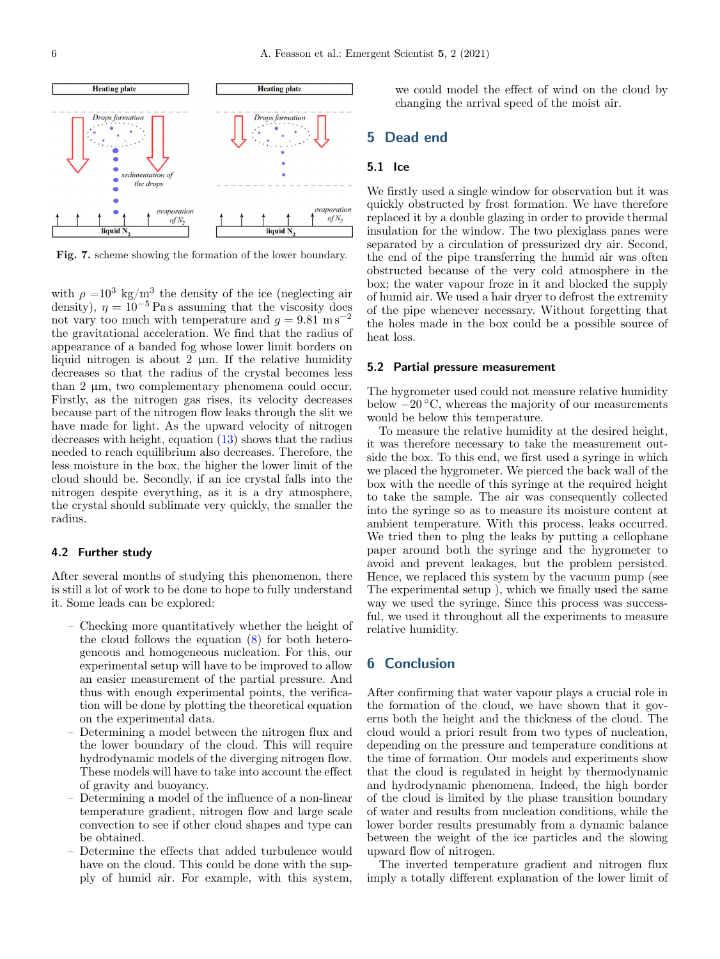

<span id="page-5-0"></span>**Fig. 7.** scheme showing the formation of the lower boundary.

with  $\rho = 10^3 \text{ kg/m}^3$  the density of the ice (neglecting air density),  $\eta = 10^{-5}$  Pas assuming that the viscosity does not vary too much with temperature and  $q = 9.81 \text{ m s}^{-2}$ the gravitational acceleration. We find that the radius of appearance of a banded fog whose lower limit borders on liquid nitrogen is about  $2 \mu m$ . If the relative humidity decreases so that the radius of the crystal becomes less than 2 µm, two complementary phenomena could occur. Firstly, as the nitrogen gas rises, its velocity decreases because part of the nitrogen flow leaks through the slit we have made for light. As the upward velocity of nitrogen decreases with height, equation [\(13\)](#page-4-1) shows that the radius needed to reach equilibrium also decreases. Therefore, the less moisture in the box, the higher the lower limit of the cloud should be. Secondly, if an ice crystal falls into the nitrogen despite everything, as it is a dry atmosphere, the crystal should sublimate very quickly, the smaller the radius.

#### **4.2 Further study**

After several months of studying this phenomenon, there is still a lot of work to be done to hope to fully understand it. Some leads can be explored:

- Checking more quantitatively whether the height of the cloud follows the equation [\(8\)](#page-2-4) for both heterogeneous and homogeneous nucleation. For this, our experimental setup will have to be improved to allow an easier measurement of the partial pressure. And thus with enough experimental points, the verification will be done by plotting the theoretical equation on the experimental data.
- Determining a model between the nitrogen flux and the lower boundary of the cloud. This will require hydrodynamic models of the diverging nitrogen flow. These models will have to take into account the effect of gravity and buoyancy.
- Determining a model of the influence of a non-linear temperature gradient, nitrogen flow and large scale convection to see if other cloud shapes and type can be obtained.
- Determine the effects that added turbulence would have on the cloud. This could be done with the supply of humid air. For example, with this system,

we could model the effect of wind on the cloud by changing the arrival speed of the moist air.

# **5 Dead end**

#### **5.1 Ice**

We firstly used a single window for observation but it was quickly obstructed by frost formation. We have therefore replaced it by a double glazing in order to provide thermal insulation for the window. The two plexiglass panes were separated by a circulation of pressurized dry air. Second, the end of the pipe transferring the humid air was often obstructed because of the very cold atmosphere in the box; the water vapour froze in it and blocked the supply of humid air. We used a hair dryer to defrost the extremity of the pipe whenever necessary. Without forgetting that the holes made in the box could be a possible source of heat loss.

#### **5.2 Partial pressure measurement**

The hygrometer used could not measure relative humidity below  $-20$  °C, whereas the majority of our measurements would be below this temperature.

To measure the relative humidity at the desired height, it was therefore necessary to take the measurement outside the box. To this end, we first used a syringe in which we placed the hygrometer. We pierced the back wall of the box with the needle of this syringe at the required height to take the sample. The air was consequently collected into the syringe so as to measure its moisture content at ambient temperature. With this process, leaks occurred. We tried then to plug the leaks by putting a cellophane paper around both the syringe and the hygrometer to avoid and prevent leakages, but the problem persisted. Hence, we replaced this system by the vacuum pump (see The experimental setup ), which we finally used the same way we used the syringe. Since this process was successful, we used it throughout all the experiments to measure relative humidity.

# **6 Conclusion**

After confirming that water vapour plays a crucial role in the formation of the cloud, we have shown that it governs both the height and the thickness of the cloud. The cloud would a priori result from two types of nucleation, depending on the pressure and temperature conditions at the time of formation. Our models and experiments show that the cloud is regulated in height by thermodynamic and hydrodynamic phenomena. Indeed, the high border of the cloud is limited by the phase transition boundary of water and results from nucleation conditions, while the lower border results presumably from a dynamic balance between the weight of the ice particles and the slowing upward flow of nitrogen.

The inverted temperature gradient and nitrogen flux imply a totally different explanation of the lower limit of